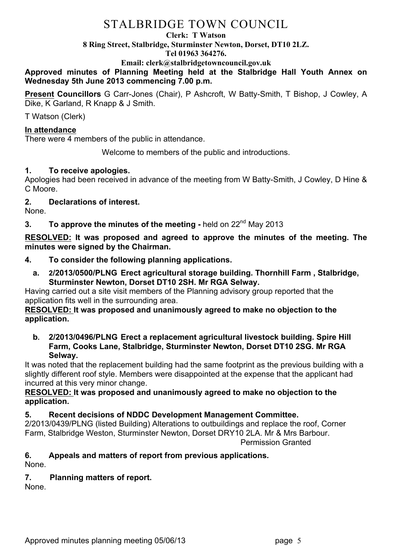# STALBRIDGE TOWN COUNCIL

#### **Clerk: T Watson**

**8 Ring Street, Stalbridge, Sturminster Newton, Dorset, DT10 2LZ.**

**Tel 01963 364276.** 

**Email: clerk@stalbridgetowncouncil.gov.uk**

**Approved minutes of Planning Meeting held at the Stalbridge Hall Youth Annex on Wednesday 5th June 2013 commencing 7.00 p.m.**

**Present Councillors** G Carr-Jones (Chair), P Ashcroft, W Batty-Smith, T Bishop, J Cowley, A Dike, K Garland, R Knapp & J Smith.

T Watson (Clerk)

### **In attendance**

There were 4 members of the public in attendance.

Welcome to members of the public and introductions.

## **1. To receive apologies.**

Apologies had been received in advance of the meeting from W Batty-Smith, J Cowley, D Hine & C Moore.

## **2. Declarations of interest.**

None.

**3. To approve the minutes of the meeting -** held on 22<sup>nd</sup> May 2013

**RESOLVED: It was proposed and agreed to approve the minutes of the meeting. The minutes were signed by the Chairman.**

- **4. To consider the following planning applications.**
	- **a. 2/2013/0500/PLNG Erect agricultural storage building. Thornhill Farm , Stalbridge, Sturminster Newton, Dorset DT10 2SH. Mr RGA Selway.**

Having carried out a site visit members of the Planning advisory group reported that the application fits well in the surrounding area.

#### **RESOLVED: It was proposed and unanimously agreed to make no objection to the application.**

**b. 2/2013/0496/PLNG Erect a replacement agricultural livestock building. Spire Hill Farm, Cooks Lane, Stalbridge, Sturminster Newton, Dorset DT10 2SG. Mr RGA Selway.**

It was noted that the replacement building had the same footprint as the previous building with a slightly different roof style. Members were disappointed at the expense that the applicant had incurred at this very minor change.

### **RESOLVED: It was proposed and unanimously agreed to make no objection to the application.**

**5. Recent decisions of NDDC Development Management Committee.**

2/2013/0439/PLNG (listed Building) Alterations to outbuildings and replace the roof, Corner Farm, Stalbridge Weston, Sturminster Newton, Dorset DRY10 2LA. Mr & Mrs Barbour. Permission Granted

# **6. Appeals and matters of report from previous applications.**

None.

# **7. Planning matters of report.**

None.